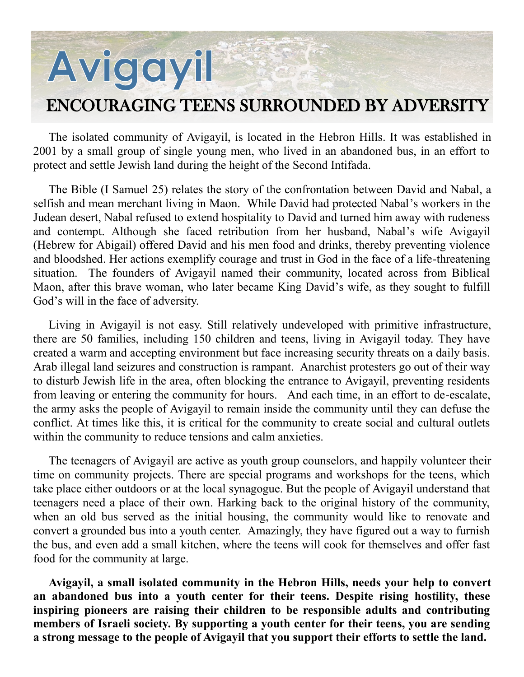## Avigayil ENCOURAGING TEENS SURROUNDED BY ADVERSITY

The isolated community of Avigayil, is located in the Hebron Hills. It was established in 2001 by a small group of single young men, who lived in an abandoned bus, in an effort to protect and settle Jewish land during the height of the Second Intifada.

The Bible (I Samuel 25) relates the story of the confrontation between David and Nabal, a selfish and mean merchant living in Maon. While David had protected Nabal's workers in the Judean desert, Nabal refused to extend hospitality to David and turned him away with rudeness and contempt. Although she faced retribution from her husband, Nabal's wife Avigayil (Hebrew for Abigail) offered David and his men food and drinks, thereby preventing violence and bloodshed. Her actions exemplify courage and trust in God in the face of a life-threatening situation. The founders of Avigayil named their community, located across from Biblical Maon, after this brave woman, who later became King David's wife, as they sought to fulfill God's will in the face of adversity.

Living in Avigayil is not easy. Still relatively undeveloped with primitive infrastructure, there are 50 families, including 150 children and teens, living in Avigayil today. They have created a warm and accepting environment but face increasing security threats on a daily basis. Arab illegal land seizures and construction is rampant. Anarchist protesters go out of their way to disturb Jewish life in the area, often blocking the entrance to Avigayil, preventing residents from leaving or entering the community for hours. And each time, in an effort to de-escalate, the army asks the people of Avigayil to remain inside the community until they can defuse the conflict. At times like this, it is critical for the community to create social and cultural outlets within the community to reduce tensions and calm anxieties.

The teenagers of Avigayil are active as youth group counselors, and happily volunteer their time on community projects. There are special programs and workshops for the teens, which take place either outdoors or at the local synagogue. But the people of Avigayil understand that teenagers need a place of their own. Harking back to the original history of the community, when an old bus served as the initial housing, the community would like to renovate and convert a grounded bus into a youth center. Amazingly, they have figured out a way to furnish the bus, and even add a small kitchen, where the teens will cook for themselves and offer fast food for the community at large.

**Avigayil, a small isolated community in the Hebron Hills, needs your help to convert an abandoned bus into a youth center for their teens. Despite rising hostility, these inspiring pioneers are raising their children to be responsible adults and contributing members of Israeli society. By supporting a youth center for their teens, you are sending a strong message to the people of Avigayil that you support their efforts to settle the land.**